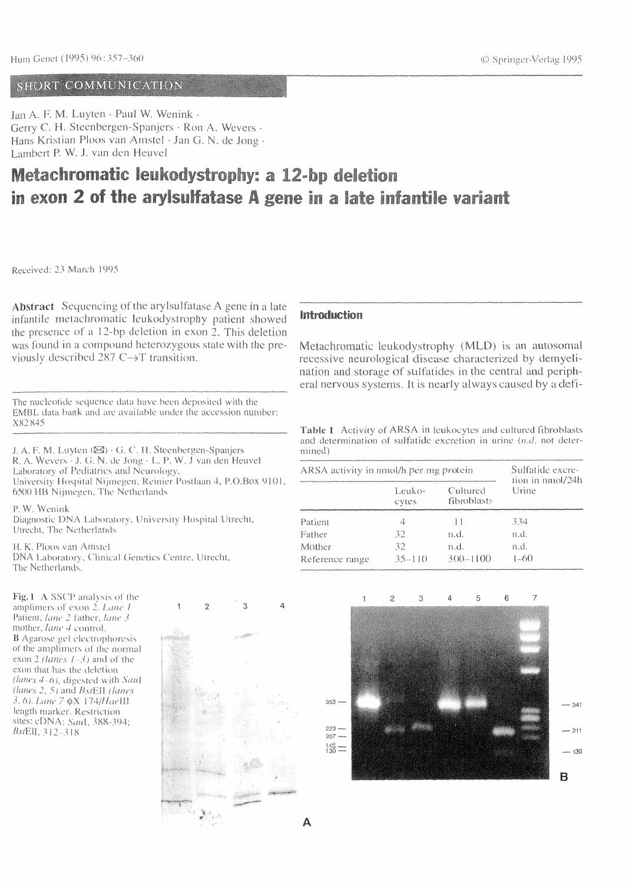## Hun Genet (1995) 96:357-360

## O Springer-Verlag 1995

# 

Jan A. F. M. Luyten · Paul W. Wenink · Gerry C. H. Steenbergen-Spanjers · Ron A. Wevers · Hans Kristian Ploos van Amstel · Jan G. N. de Jong · Lambert P. W. J. van den Heuvel

| Metachromatic leukodystrophy: a 12-bp de deletion                                  |  |  |
|------------------------------------------------------------------------------------|--|--|
| in exon 2 of the arylsultate A gene in a late infance the exone wards to the exone |  |  |

### Received: 23 March 1995

Abstract Sequencing of the arylsulfatase A gene in a late infantile metachromatic leukodystrophy patient showed the presence of a 12-bp deletion in exon 2. This deletion was found in a compound heterozygous state with the previously described 287 C->T transition.

The nucleotide sequence data have been deposited with the EMBL data bank and are available under the accession number: X82845

# Emitendualentea

Metachromatic leukodystrophy (MLD) is an autosomal recessive neurological disease characterized by demyelination and storage of sulfatides in the central and peripheral nervous systems. It is nearly always caused by a defi-

**Table 1** Activity of ARSA in leukocytes and cultured fibroblasts and determination of sulfatide exerction in urine (n.d. not deter-

J. A. F. M. Luyten (03) · G. C. H. Steenbergen-Spunjers R. A. Wevers - J. G. N. de Jong - L. P. W. J van den Heuvel Laboratory of Pediatrics and Neurology, University Hospital Nijmegen, Reinier Postlaan 4, P.O.Box 9101, 6500 HB Nijmegen, The Netherlands

P. W. Wenink

Diagnostic DNA Laboratory, University Hospital Utrecht, Utreh, The Netwolands

H. K. Ploos van Amstel DNA Laboratory, Clinical Genetics Centre, Utrecht, The Netherlands.

mined)

| ARSA activity in nmol/h per mg protein |                 |                         | Sulfatide excre-          |  |
|----------------------------------------|-----------------|-------------------------|---------------------------|--|
|                                        | Leuko-<br>Gytes | Cultured<br>fibroblasts | tion in nmol/24h<br>Urine |  |
| Patient                                |                 |                         | 334                       |  |
| raiher                                 | $\mathcal{A}$   | n.d.                    | n.d.                      |  |
| Mother                                 |                 | n d                     | $T \cup C$                |  |
| Reference range                        | 35-110          | $300 - 1100$            | $1 - 61$                  |  |

Pig. 1 A SSCD analysis of the amplimers of exon 2. Lane 1 Patient, *lane 2* father, *lane* 3 mother, lane 4 control. **B** Agarose gel slectrophoresis of the amplimers of the normal exon 2 *(lanes 1-3*) and of the exon that has the deletion *(lanes 4–6)*, digested with Saal *(lanes 2, 5) and Bsilill (lanes*  $\beta$ ,  $\delta$ ), Lane 7  $\mathbb{Q} \times 174$ /Haelli length marker, Restriction Sites: CDNA: Saul, 388-394; ByEII, 312-318



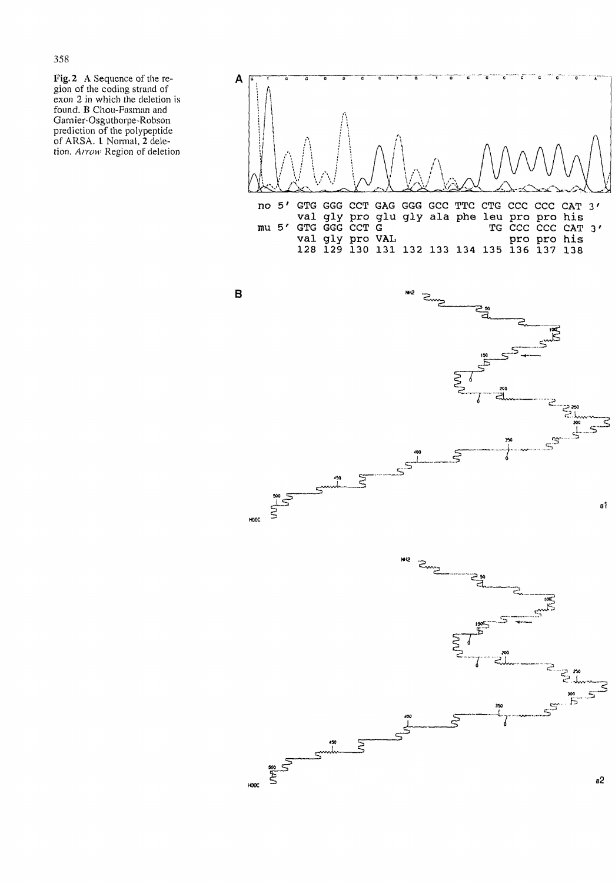#### 358

Fig. 2 A Sequence of the region of the coding strand of exon 2 in which the deletion is found. B Chou-Fasman and Garnier-Osguthorpe-Robson prediction of the polypeptide of ARSA. 1 Normal, 2 deletion. Arrow Region of deletion



no 5' GTG GGG CCT GAG GGG GCC TTC CTG CCC CCC CAT 3' val gly pro glu gly ala phe leu pro pro his TG CCC CCC CAT 3'  $mu 5'$ GTG GGG CCT G





 $450$ 



B



 $B<sup>1</sup>$ 

 $a2$ 



**HM12** 

 $400$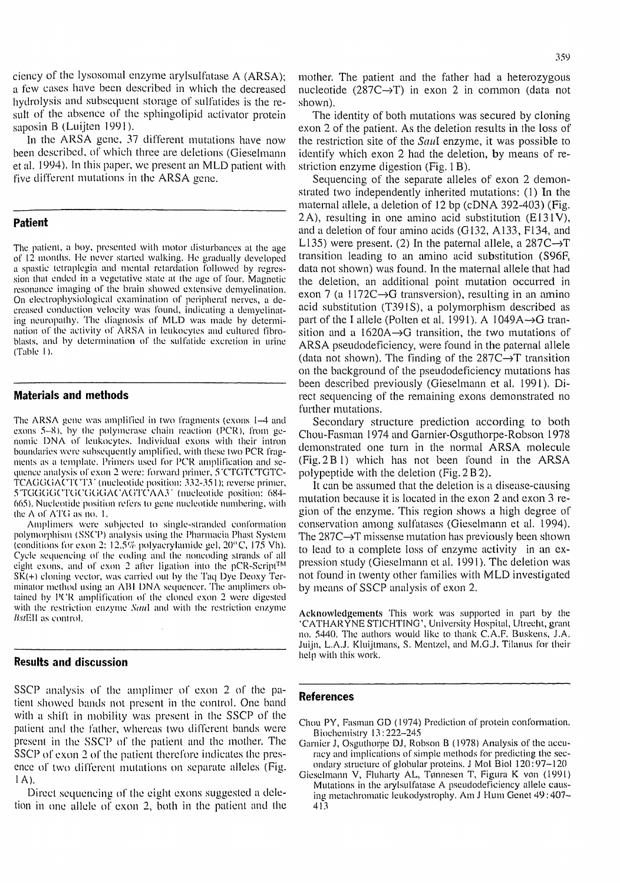**359**

cicncy of the lysosomal enzyme arylsulfatase A (ARSA); a few cases have been described in which the decreased hydrolysis and subsequent storage of sulfatides is the result of the absence of the sphingolipid activator protein saposin B (Luijten 1991).

mother. The patient and the father had a heterozygous nucleotide  $(287C \rightarrow T)$  in exon 2 in common (data not shown).

In the ARSA gene, 37 different mutations have now et al. 1994). In this paper, we present an MLD patient with five different mutations in the ARSA gene.

The patient, a boy, presented with motor disturbances at the age of 12 months. He never started walking. He gradually developed a spastic tetraplegia and mental retardation followed by regression that ended in a vegetative state at the age of four. Magnetic resonance imaging of the brain showed extensive demyelination. On electrophysiological examination of peripheral nerves, a decreased conduction velocity was found, indicating a demyelinating neuropathy. The diagnosis of MLD was made by determination of the activity of ARSA in leukocytes and cultured fibroblasts, and bv determination of the sulfatide excretion in urine (Table I ).

**Patient**

The ARSA gene was amplified in two fragments (exons 1-4 and exons 5~X), by the polymerase chain reaction (PCR), from genomic DNA of leukocytes. Individual exons with their intron boundaries were subsequently amplified, with these two PCR fragments as a template. Primers used lor PCR amplification and sequence analysis of exon 2 were: forward primer, 5 CTGTCTGTC-TCAGGGACTCT3' (nucleotide position; 332-351); reverse primer, 5TGGGGCTGCGGGACAGTCAA3' (nucleotide position: 684- 665). Nucleotide position refers to gene nucleotide numbering, with the A of ATG as no. 1. Amplimers were subjected to single-stranded conformation polymorphism (SSCP) analysis using the Pharmacia Phast System (conditions for exon 2; 12.5% polyacrylamide gel,  $20^{\circ}$ C, 175 Vh). Cycle sequencing of the coding and the noncoding strands of all eight exons, and of exon 2 after ligation into the pCR-Script™ SK(+) cloning vector, was carried out by the Taq Dye Deoxy Terminator method using an ABI DNA sequencer. The amplimers obtained by PCR amplification of the cloned exon 2 were digested with the restriction enzyme Saul and with the restriction enzyme *HstEU* as control.

### **Materials and methods**

The identity of both mutations was secured by cloning exon 2 of the patient. As the deletion results in the loss of the restriction site of the *Saul* enzyme, it was possible to been described, of which three are deletions (Gieselmann identify which exon 2 had the deletion, by means of restriction enzyme digestion (Fig. 1 B).

> Sequencing of the separate alleles of exon 2 demonstrated two independently inherited mutations: ( 1) In the maternal allele, a deletion of 12 bp (cDNA 392-403) (Fig. 2A), resulting in one amino acid substitution  $(E131V)$ , and a deletion of four amino acids (G132, A133, F134, and L135) were present. (2) In the paternal allele, a  $287C \rightarrow T$ transition leading to an amino acid substitution (S96F, data not shown) was found. In the maternal allele that had the deletion, an additional point mutation occurred in exon 7 (a 1172C $\rightarrow$ G transversion), resulting in an amino acid substitution (T391S), a polymorphism described as part of the I allele (Polten et al. 1991). A 1049A $\rightarrow$ G transition and a 1620A $\rightarrow$ G transition, the two mutations of ARSA pseudodeficiency, were found in the paternal allele (data not shown). The finding of the  $287C \rightarrow T$  transition on the background of the pseudodeficiency mutations has been described previously (Gieselmann et al. 1991). Direct sequencing of the remaining exons demonstrated no further mutations. Secondary structure prediction according to both Chou-Fasman 1974 and Garnier-Osguthorpe-Robson 1978 demonstrated one turn in the normal ARSA molecule (Fig.2Bl) which has not been found in the ARSA polypeptide with the deletion (Fig. 2 B 2). It can be assumed that the deletion is a disease-causing mutation because it is located in the exon 2 and exon 3 region of the enzyme. This region shows a high degree of conservation among sulfatases (Gieselmann et al. 1994). The  $287C \rightarrow T$  missense mutation has previously been shown to lead to a complete loss of enzyme activity in an expression study (Gieselmann et al. 1991). The deletion was not found in twenty other families with MLD investigated by means of SSCP analysis of exon 2.

### **Results and discussion**

Acknowledgements This work was supported in part by the 'CATHARYNE ST1CHTING', University Hospital, Utrecht, grant no. 5440. The authors would like to thank C.A.F. Buskens, J.A. Juijn, L.A.J. Kluijtmans, S. Mentzel, and M.G.J. Tiianus for their help with this work.

SSCP analysis of the amplimer of exon 2 of the patient showed bands not present in the control. One band with a shift in mobility was present in the SSCP of the patient and the father, whereas two different bands were present in the SSCP of the patient and the mother. The SSCP of exon 2 of the patient therefore indicates the presence of two different mutations on separate alleles (Fig,  $1 A$ ). Direct sequencing of the eight exons suggested a deletion in one allele of exon 2, both in the patient and the

# **References**

Chou PY, Fasman GD (1974) Prediction of protein conformation. Biochemistry 13:222-245 Garnier J, Osguthorpe DJ, Robson B (1978) Analysis of the accuracy and implications of simple methods for predicting the secondary structure of globular proteins. J Mol Biol 120:97-120 Gieselmann V, Fluharty AL, Tønnesen T, Figura K von (1991) Mutations in the arylsulfatase A pseudodefieiency allele causing metachromatic leukodystrophy. Am J Hum Genet 49:407-413